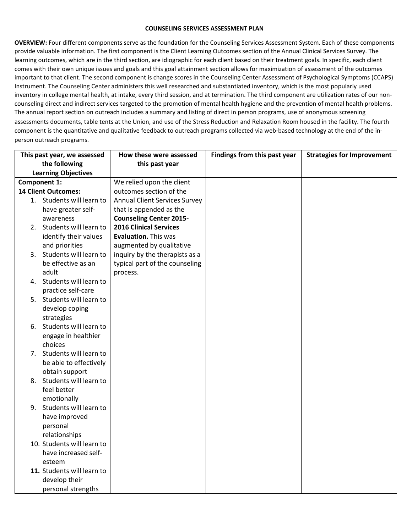## **COUNSELING SERVICES ASSESSMENT PLAN**

**OVERVIEW:** Four different components serve as the foundation for the Counseling Services Assessment System. Each of these components provide valuable information. The first component is the Client Learning Outcomes section of the Annual Clinical Services Survey. The learning outcomes, which are in the third section, are idiographic for each client based on their treatment goals. In specific, each client comes with their own unique issues and goals and this goal attainment section allows for maximization of assessment of the outcomes important to that client. The second component is change scores in the Counseling Center Assessment of Psychological Symptoms (CCAPS) Instrument. The Counseling Center administers this well researched and substantiated inventory, which is the most popularly used inventory in college mental health, at intake, every third session, and at termination. The third component are utilization rates of our noncounseling direct and indirect services targeted to the promotion of mental health hygiene and the prevention of mental health problems. The annual report section on outreach includes a summary and listing of direct in person programs, use of anonymous screening assessments documents, table tents at the Union, and use of the Stress Reduction and Relaxation Room housed in the facility. The fourth component is the quantitative and qualitative feedback to outreach programs collected via web-based technology at the end of the inperson outreach programs.

| This past year, we assessed |                            | How these were assessed              | Findings from this past year | <b>Strategies for Improvement</b> |
|-----------------------------|----------------------------|--------------------------------------|------------------------------|-----------------------------------|
| the following               |                            | this past year                       |                              |                                   |
| <b>Learning Objectives</b>  |                            |                                      |                              |                                   |
| <b>Component 1:</b>         |                            | We relied upon the client            |                              |                                   |
| <b>14 Client Outcomes:</b>  |                            | outcomes section of the              |                              |                                   |
|                             | 1. Students will learn to  | <b>Annual Client Services Survey</b> |                              |                                   |
|                             | have greater self-         | that is appended as the              |                              |                                   |
|                             | awareness                  | <b>Counseling Center 2015-</b>       |                              |                                   |
|                             | 2. Students will learn to  | <b>2016 Clinical Services</b>        |                              |                                   |
|                             | identify their values      | <b>Evaluation. This was</b>          |                              |                                   |
|                             | and priorities             | augmented by qualitative             |                              |                                   |
|                             | 3. Students will learn to  | inquiry by the therapists as a       |                              |                                   |
|                             | be effective as an         | typical part of the counseling       |                              |                                   |
|                             | adult                      | process.                             |                              |                                   |
|                             | 4. Students will learn to  |                                      |                              |                                   |
|                             | practice self-care         |                                      |                              |                                   |
|                             | 5. Students will learn to  |                                      |                              |                                   |
|                             | develop coping             |                                      |                              |                                   |
|                             | strategies                 |                                      |                              |                                   |
|                             | 6. Students will learn to  |                                      |                              |                                   |
|                             | engage in healthier        |                                      |                              |                                   |
|                             | choices                    |                                      |                              |                                   |
|                             | 7. Students will learn to  |                                      |                              |                                   |
|                             | be able to effectively     |                                      |                              |                                   |
|                             | obtain support             |                                      |                              |                                   |
|                             | 8. Students will learn to  |                                      |                              |                                   |
|                             | feel better                |                                      |                              |                                   |
|                             | emotionally                |                                      |                              |                                   |
|                             | 9. Students will learn to  |                                      |                              |                                   |
|                             | have improved              |                                      |                              |                                   |
|                             | personal                   |                                      |                              |                                   |
|                             | relationships              |                                      |                              |                                   |
|                             | 10. Students will learn to |                                      |                              |                                   |
|                             | have increased self-       |                                      |                              |                                   |
|                             | esteem                     |                                      |                              |                                   |
|                             | 11. Students will learn to |                                      |                              |                                   |
|                             | develop their              |                                      |                              |                                   |
|                             | personal strengths         |                                      |                              |                                   |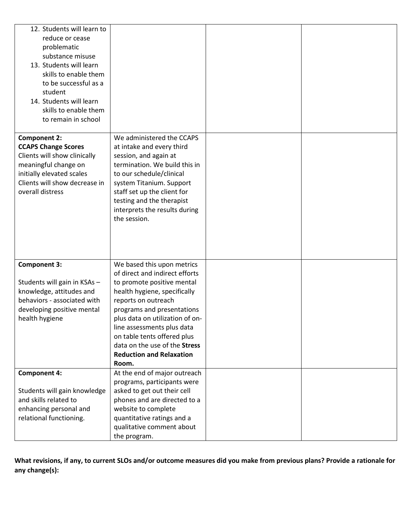| 12. Students will learn to<br>reduce or cease<br>problematic<br>substance misuse<br>13. Students will learn<br>skills to enable them<br>to be successful as a<br>student<br>14. Students will learn<br>skills to enable them<br>to remain in school |                                                                                                                                                                                                                                                                                                                                                              |  |
|-----------------------------------------------------------------------------------------------------------------------------------------------------------------------------------------------------------------------------------------------------|--------------------------------------------------------------------------------------------------------------------------------------------------------------------------------------------------------------------------------------------------------------------------------------------------------------------------------------------------------------|--|
| <b>Component 2:</b><br><b>CCAPS Change Scores</b><br>Clients will show clinically<br>meaningful change on<br>initially elevated scales<br>Clients will show decrease in<br>overall distress                                                         | We administered the CCAPS<br>at intake and every third<br>session, and again at<br>termination. We build this in<br>to our schedule/clinical<br>system Titanium. Support<br>staff set up the client for<br>testing and the therapist<br>interprets the results during<br>the session.                                                                        |  |
| <b>Component 3:</b><br>Students will gain in KSAs -<br>knowledge, attitudes and<br>behaviors - associated with<br>developing positive mental<br>health hygiene                                                                                      | We based this upon metrics<br>of direct and indirect efforts<br>to promote positive mental<br>health hygiene, specifically<br>reports on outreach<br>programs and presentations<br>plus data on utilization of on-<br>line assessments plus data<br>on table tents offered plus<br>data on the use of the Stress<br><b>Reduction and Relaxation</b><br>Room. |  |
| <b>Component 4:</b><br>Students will gain knowledge<br>and skills related to<br>enhancing personal and<br>relational functioning.                                                                                                                   | At the end of major outreach<br>programs, participants were<br>asked to get out their cell<br>phones and are directed to a<br>website to complete<br>quantitative ratings and a<br>qualitative comment about<br>the program.                                                                                                                                 |  |

**What revisions, if any, to current SLOs and/or outcome measures did you make from previous plans? Provide a rationale for any change(s):**